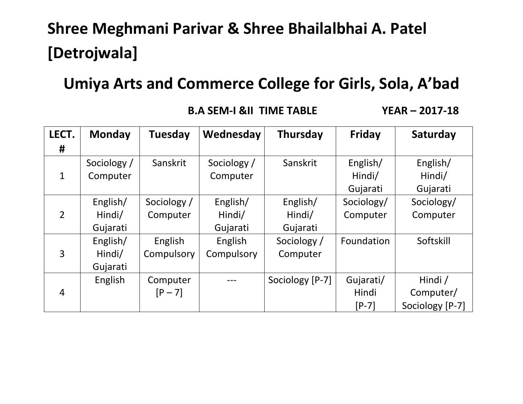# **Shree Meghmani Parivar & Shree Bhailalbhai A. Patel [Detrojwala]**

## **Umiya Arts and Commerce College for Girls, Sola, A'bad**

 **B.A SEM-I &II TIME TABLE YEAR – 2017-18**

| LECT.          | <b>Monday</b> | Tuesday     | Wednesday   | Thursday        | <b>Friday</b> | Saturday        |
|----------------|---------------|-------------|-------------|-----------------|---------------|-----------------|
| #              |               |             |             |                 |               |                 |
|                | Sociology /   | Sanskrit    | Sociology / | Sanskrit        | English/      | English/        |
| $\mathbf{1}$   | Computer      |             | Computer    |                 | Hindi/        | Hindi/          |
|                |               |             |             |                 | Gujarati      | Gujarati        |
|                | English/      | Sociology / | English/    | English/        | Sociology/    | Sociology/      |
| $\overline{2}$ | Hindi/        | Computer    | Hindi/      | Hindi/          | Computer      | Computer        |
|                | Gujarati      |             | Gujarati    | Gujarati        |               |                 |
|                | English/      | English     | English     | Sociology /     | Foundation    | Softskill       |
| 3              | Hindi/        | Compulsory  | Compulsory  | Computer        |               |                 |
|                | Gujarati      |             |             |                 |               |                 |
|                | English       | Computer    |             | Sociology [P-7] | Gujarati/     | Hindi /         |
| $\overline{4}$ |               | $[P - 7]$   |             |                 | Hindi         | Computer/       |
|                |               |             |             |                 | $[P-7]$       | Sociology [P-7] |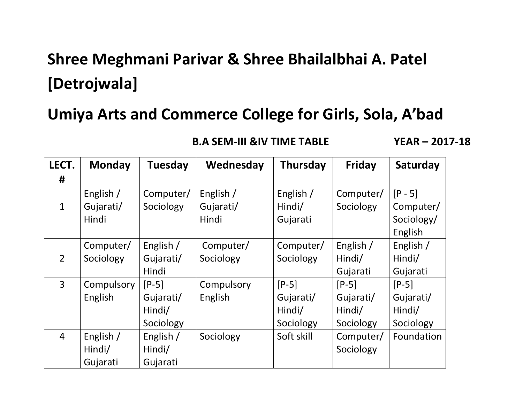# **Shree Meghmani Parivar & Shree Bhailalbhai A. Patel [Detrojwala]**

### **Umiya Arts and Commerce College for Girls, Sola, A'bad**

| LECT.          | <b>Monday</b> | <b>Tuesday</b> | Wednesday  | <b>Thursday</b> | <b>Friday</b> | Saturday   |
|----------------|---------------|----------------|------------|-----------------|---------------|------------|
| #              |               |                |            |                 |               |            |
|                | English /     | Computer/      | English /  | English /       | Computer/     | $[P - 5]$  |
| $\mathbf{1}$   | Gujarati/     | Sociology      | Gujarati/  | Hindi/          | Sociology     | Computer/  |
|                | Hindi         |                | Hindi      | Gujarati        |               | Sociology/ |
|                |               |                |            |                 |               | English    |
|                | Computer/     | English /      | Computer/  | Computer/       | English /     | English /  |
| $\overline{2}$ | Sociology     | Gujarati/      | Sociology  | Sociology       | Hindi/        | Hindi/     |
|                |               | Hindi          |            |                 | Gujarati      | Gujarati   |
| $\overline{3}$ | Compulsory    | $[P-5]$        | Compulsory | $[P-5]$         | $[P-5]$       | $[P-5]$    |
|                | English       | Gujarati/      | English    | Gujarati/       | Gujarati/     | Gujarati/  |
|                |               | Hindi/         |            | Hindi/          | Hindi/        | Hindi/     |
|                |               | Sociology      |            | Sociology       | Sociology     | Sociology  |
| $\overline{4}$ | English /     | English /      | Sociology  | Soft skill      | Computer/     | Foundation |
|                | Hindi/        | Hindi/         |            |                 | Sociology     |            |
|                | Gujarati      | Gujarati       |            |                 |               |            |

 **B.A SEM-III &IV TIME TABLE YEAR – 2017-18**